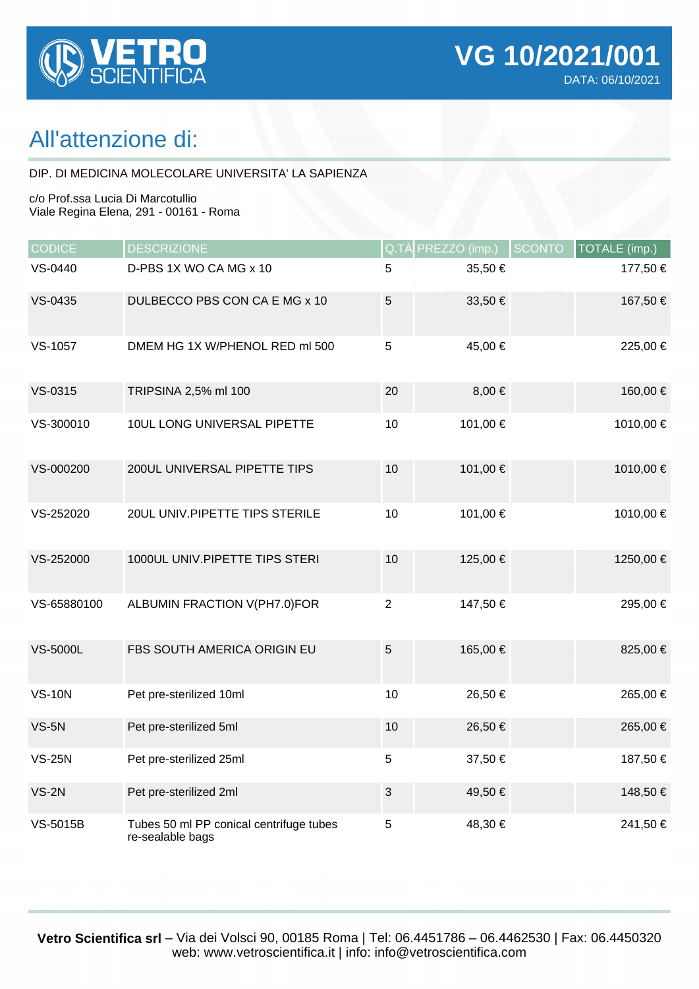

## All'attenzione di:

DIP. DI MEDICINA MOLECOLARE UNIVERSITA' LA SAPIENZA

c/o Prof.ssa Lucia Di Marcotullio Viale Regina Elena, 291 - 00161 - Roma

| <b>CODICE</b>   | <b>DESCRIZIONE</b>                                          |                | Q.TÀ PREZZO (imp.) | <b>SCONTO</b> | TOTALE (imp.) |
|-----------------|-------------------------------------------------------------|----------------|--------------------|---------------|---------------|
| VS-0440         | D-PBS 1X WO CA MG x 10                                      | 5              | 35,50€             |               | 177,50 €      |
| VS-0435         | DULBECCO PBS CON CA E MG x 10                               | 5              | 33,50 €            |               | 167,50 €      |
| VS-1057         | DMEM HG 1X W/PHENOL RED ml 500                              | 5              | 45,00 €            |               | 225,00 €      |
| VS-0315         | TRIPSINA 2,5% ml 100                                        | 20             | $8,00 \in$         |               | 160,00 €      |
| VS-300010       | 10UL LONG UNIVERSAL PIPETTE                                 | 10             | 101,00 €           |               | 1010,00 €     |
| VS-000200       | 200UL UNIVERSAL PIPETTE TIPS                                | 10             | 101,00 €           |               | 1010,00 €     |
| VS-252020       | 20UL UNIV.PIPETTE TIPS STERILE                              | 10             | 101,00 €           |               | 1010,00 €     |
| VS-252000       | 1000UL UNIV.PIPETTE TIPS STERI                              | 10             | 125,00 €           |               | 1250,00 €     |
| VS-65880100     | ALBUMIN FRACTION V(PH7.0)FOR                                | $\overline{2}$ | 147,50 €           |               | 295,00 €      |
| <b>VS-5000L</b> | FBS SOUTH AMERICA ORIGIN EU                                 | $5\,$          | 165,00 €           |               | 825,00 €      |
| <b>VS-10N</b>   | Pet pre-sterilized 10ml                                     | 10             | 26,50 €            |               | 265,00 €      |
| $VS-5N$         | Pet pre-sterilized 5ml                                      | 10             | 26,50€             |               | 265,00 €      |
| <b>VS-25N</b>   | Pet pre-sterilized 25ml                                     | 5              | 37,50 €            |               | 187,50 €      |
| $VS-2N$         | Pet pre-sterilized 2ml                                      | $\sqrt{3}$     | 49,50 €            |               | 148,50 €      |
| <b>VS-5015B</b> | Tubes 50 ml PP conical centrifuge tubes<br>re-sealable bags | 5              | 48,30 €            |               | 241,50 €      |